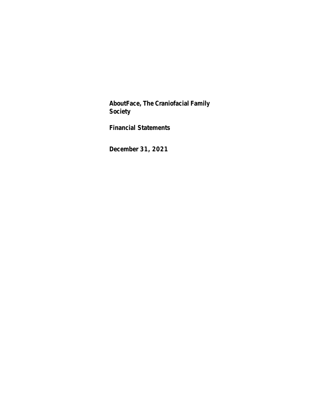**AboutFace, The Craniofacial Family Society**

**Financial Statements**

**December 31, 2021**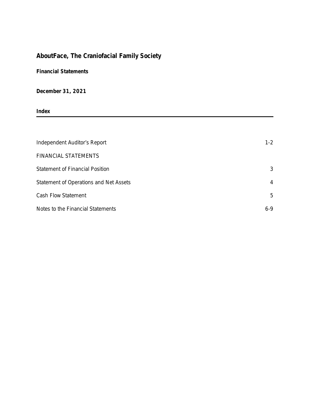# **AboutFace, The Craniofacial Family Society**

**Financial Statements**

**December 31, 2021**

**Index**

| Independent Auditor's Report           | $1 - 2$        |
|----------------------------------------|----------------|
| FINANCIAL STATEMENTS                   |                |
| <b>Statement of Financial Position</b> | 3              |
| Statement of Operations and Net Assets | $\overline{4}$ |
| Cash Flow Statement                    | 5              |
| Notes to the Financial Statements      | $6 - 9$        |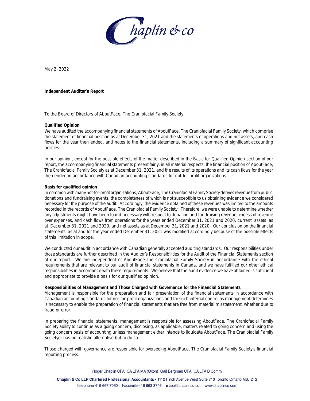

May 2, 2022

**Independent Auditor's Report**

To the Board of Directors of AboutFace, The Craniofacial Family Society

#### **Qualified Opinion**

We have audited the accompanying financial statements of AboutFace, The Craniofacial Family Society, which comprise the statement of financial position as at December 31, 2021 and the statements of operations and net assets, and cash flows for the year then ended, and notes to the financial statements, including a summary of significant accounting policies.

In our opinion, except for the possible effects of the matter described in the Basis for Qualified Opinion section of our report, the accompanying financial statements present fairly, in all material respects, the financial position of AboutFace, The Craniofacial Family Society as at December 31, 2021, and the results of its operations and its cash flows for the year then ended in accordance with Canadian accounting standards for not-for-profit organizations.

#### **Basis for qualified opinion**

In common with many not-for-profit organizations, AboutFace, The Craniofacial Family Society derives revenue from public donations and fundraising events, the completeness of which is not susceptible to us obtaining evidence we considered necessary for the purpose of the audit. Accordingly, the evidence obtained of these revenues was limited to the amounts recorded in the records of AboutFace, The Craniofacial Family Society. Therefore, we were unable to determine whether any adjustments might have been found necessary with respect to donation and fundraising revenue, excess of revenue over expenses, and cash flows from operations for the years ended December 31, 2021 and 2020, current assets as at December 31, 2021 and 2020, and net assets as at December 31, 2021 and 2020. Our conclusion on the financial statements as at and for the year ended December 31, 2021 was modified accordingly because of the possible effects of this limitation in scope.

We conducted our audit in accordance with Canadian generally accepted auditing standards. Our responsibilities under those standards are further described in the Auditor's Responsibilities for the Audit of the Financial Statements section of our report. We are independent of AboutFace,The Craniofacial Family Society in accordance with the ethical requirements that are relevant to our audit of financial statements in Canada, and we have fulfilled our other ethical responsibilities in accordance with these requirements. We believe that the audit evidence we have obtained is sufficient and appropriate to provide a basis for our qualified opinion.

**Responsibilities of Management and Those Charged with Governance for the Financial Statements** Management is responsible for the preparation and fair presentation of the financial statements in accordance with Canadian accounting standards for not-for-profit organizations and for such internal control as management determines is necessary to enable the preparation of financial statements that are free from material misstatement, whether due to fraud or error.

In preparing the financial statements, management is responsible for assessing AboutFace, The Craniofacial Family Society ability to continue as a going concern, disclosing, as applicable, matters related to going concern and using the going concern basis of accounting unless management either intends to liquidate AboutFace, The Craniofacial Family Societyor has no realistic alternative but to do so.

Those charged with governance are responsible for overseeing AboutFace, The Craniofacial Family Society's financial reporting process.

Roger Chaplin CPA, CA LPA MA (Oxon) Gail Bergman CPA, CA LPA B Comm

Chaplin & Co LLP Chartered Professional Accountants · 1110 Finch Avenue West Suite 710 Toronto Ontario M3J 2T2 Telephone 416 667 7060 Facsimile 416 663 3746 e cpa@chaplinco.com www.chaplinco.com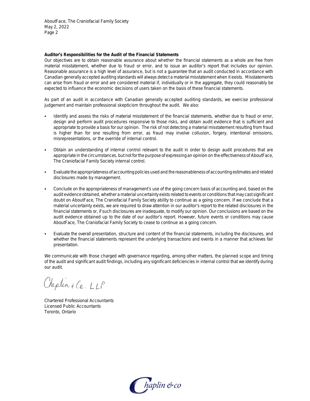AboutFace, The Craniofacial Family Society May 2, 2022 Page 2

**Auditor's Responsibilities for the Audit of the Financial Statements**

Our objectives are to obtain reasonable assurance about whether the financial statements as a whole are free from material misstatement, whether due to fraud or error, and to issue an auditor's report that includes our opinion. Reasonable assurance is a high level of assurance, but is not a guarantee that an audit conducted in accordance with Canadian generally accepted auditing standards will always detect a material misstatement when it exists. Misstatements can arise from fraud or error and are considered material if, individually or in the aggregate, they could reasonably be expected to influence the economic decisions of users taken on the basis of these financial statements.

As part of an audit in accordance with Canadian generally accepted auditing standards, we exercise professional judgement and maintain professional skepticism throughout the audit. We also:

- Identify and assess the risks of material misstatement of the financial statements, whether due to fraud or error, design and perform audit procedures responsive to those risks, and obtain audit evidence that is sufficient and appropriate to provide a basis for our opinion. The risk of not detecting a material misstatement resulting from fraud is higher than for one resulting from error, as fraud may involve collusion, forgery, intentional omissions, misrepresentations, or the override of internal control.
- Obtain an understanding of internal control relevant to the audit in order to design audit procedures that are appropriate in the circumstances, but not for the purpose of expressing an opinion on the effectiveness of AboutFace, The Craniofacial Family Society internal control.
- Evaluate the appropriateness of accounting policies used and the reasonableness of accounting estimates and related disclosures made by management.
- Conclude on the appropriateness of management's use of the going concern basis of accounting and, based on the audit evidence obtained, whether a material uncertainty exists related to events or conditions that may cast significant doubt on AboutFace, The Craniofacial Family Society ability to continue as a going concern. If we conclude that a material uncertainty exists, we are required to draw attention in our auditor's report to the related disclosures in the financial statements or, if such disclosures are inadequate, to modify our opinion. Our conclusions are based on the audit evidence obtained up to the date of our auditor's report. However, future events or conditions may cause AboutFace, The Craniofacial Family Society to cease to continue as a going concern.
- Evaluate the overall presentation, structure and content of the financial statements, including the disclosures, and whether the financial statements represent the underlying transactions and events in a manner that achieves fair presentation.

We communicate with those charged with governance regarding, among other matters, the planned scope and timing of the audit and significant audit findings, including any significant deficiencies in internal control that we identify during our audit.

Chaplin + Co. LLP

Chartered Professional Accountants Licensed Public Accountants Toronto, Ontario

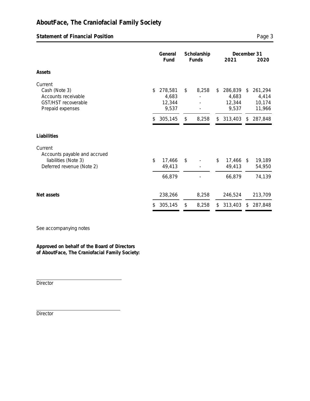# **AboutFace, The Craniofacial Family Society**

**Statement of Financial Position Page 3** 

|                                                                                              |     | General                             | Scholarship |       |                                           |          | December 31                          |
|----------------------------------------------------------------------------------------------|-----|-------------------------------------|-------------|-------|-------------------------------------------|----------|--------------------------------------|
|                                                                                              |     | Fund                                |             | Funds | 2021                                      |          | 2020                                 |
| Assets                                                                                       |     |                                     |             |       |                                           |          |                                      |
| Current<br>Cash (Note 3)<br>Accounts receivable<br>GST/HST recoverable<br>Prepaid expenses   | \$  | 278,581<br>4,683<br>12,344<br>9,537 | \$          | 8,258 | \$<br>286,839<br>4,683<br>12,344<br>9,537 | \$       | 261,294<br>4,414<br>10,174<br>11,966 |
|                                                                                              | \$. | 305,145                             | \$          | 8,258 | \$<br>313,403                             | \$       | 287,848                              |
| Liabilities                                                                                  |     |                                     |             |       |                                           |          |                                      |
| Current<br>Accounts payable and accrued<br>liabilities (Note 3)<br>Deferred revenue (Note 2) | \$  | 17,466<br>49,413                    | \$          |       | \$<br>17,466<br>49,413                    | <b>S</b> | 19,189<br>54,950                     |
|                                                                                              |     | 66,879                              |             |       | 66,879                                    |          | 74,139                               |
| Net assets                                                                                   |     | 238,266                             |             | 8,258 | 246,524                                   |          | 213,709                              |
|                                                                                              | \$  | 305,145                             | \$          | 8,258 | \$<br>313,403                             | \$       | 287,848                              |

See accompanying notes

**Approved on behalf of the Board of Directors of AboutFace, The Craniofacial Family Society:**

Director

**Director**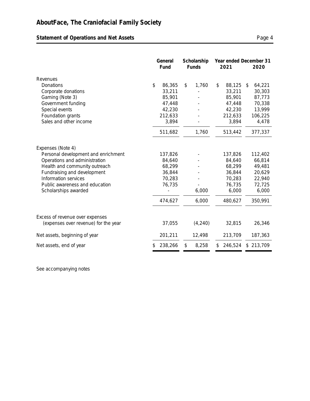# Statement of Operations and Net Assets **Page 4** Page 4

|                                      |    |         |    | General<br>Fund |    | Scholarship<br>Funds |               | Year ended December 31<br>2021 | 2020 |
|--------------------------------------|----|---------|----|-----------------|----|----------------------|---------------|--------------------------------|------|
| Revenues                             |    |         |    |                 |    |                      |               |                                |      |
| Donations                            | \$ | 86,365  | \$ | 1,760           | \$ | 88,125               | \$<br>64,221  |                                |      |
| Corporate donations                  |    | 33,211  |    |                 |    | 33,211               | 30,303        |                                |      |
| Gaming (Note 3)                      |    | 85,901  |    |                 |    | 85,901               | 87,773        |                                |      |
| Government funding                   |    | 47,448  |    |                 |    | 47,448               | 70,338        |                                |      |
| Special events                       |    | 42,230  |    |                 |    | 42,230               | 13,999        |                                |      |
| Foundation grants                    |    | 212,633 |    |                 |    | 212,633              | 106,225       |                                |      |
| Sales and other income               |    | 3,894   |    |                 |    | 3,894                | 4,478         |                                |      |
|                                      |    | 511,682 |    | 1,760           |    | 513,442              | 377,337       |                                |      |
| Expenses (Note 4)                    |    |         |    |                 |    |                      |               |                                |      |
| Personal development and enrichment  |    | 137,826 |    |                 |    | 137,826              | 112,402       |                                |      |
| Operations and administration        |    | 84,640  |    |                 |    | 84,640               | 66,814        |                                |      |
| Health and community outreach        |    | 68,299  |    |                 |    | 68,299               | 49,481        |                                |      |
| Fundraising and development          |    | 36,844  |    |                 |    | 36,844               | 20,629        |                                |      |
| Information services                 |    | 70,283  |    |                 |    | 70,283               | 22,940        |                                |      |
| Public awareness and education       |    | 76,735  |    |                 |    | 76,735               | 72,725        |                                |      |
| Scholarships awarded                 |    |         |    | 6,000           |    | 6,000                | 6,000         |                                |      |
|                                      |    | 474,627 |    | 6,000           |    | 480,627              | 350,991       |                                |      |
| Excess of revenue over expenses      |    |         |    |                 |    |                      |               |                                |      |
| (expenses over revenue) for the year |    | 37,055  |    | (4, 240)        |    | 32,815               | 26,346        |                                |      |
| Net assets, beginning of year        |    | 201,211 |    | 12,498          |    | 213,709              | 187,363       |                                |      |
| Net assets, end of year              |    | 238,266 | \$ | 8,258           | \$ | 246,524              | \$<br>213,709 |                                |      |

See accompanying notes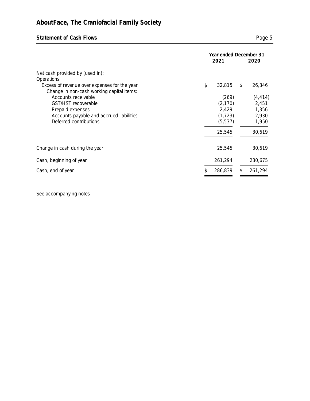# **Statement of Cash Flows Page 5**

|                                                                                           |     | 2021     | Year ended December 31<br>2020 |          |  |
|-------------------------------------------------------------------------------------------|-----|----------|--------------------------------|----------|--|
| Net cash provided by (used in):<br>Operations                                             |     |          |                                |          |  |
| Excess of revenue over expenses for the year<br>Change in non-cash working capital items: | \$  | 32,815   | \$                             | 26,346   |  |
| Accounts receivable                                                                       |     | (269)    |                                | (4, 414) |  |
| <b>GST/HST</b> recoverable                                                                |     | (2, 170) |                                | 2,451    |  |
| Prepaid expenses                                                                          |     | 2,429    |                                | 1,356    |  |
| Accounts payable and accrued liabilities                                                  |     | (1, 723) |                                | 2,930    |  |
| Deferred contributions                                                                    |     | (5, 537) |                                | 1,950    |  |
|                                                                                           |     | 25,545   |                                | 30,619   |  |
| Change in cash during the year                                                            |     | 25,545   |                                | 30,619   |  |
| Cash, beginning of year                                                                   |     | 261,294  |                                | 230,675  |  |
| Cash, end of year                                                                         | \$. | 286,839  | \$                             | 261,294  |  |

See accompanying notes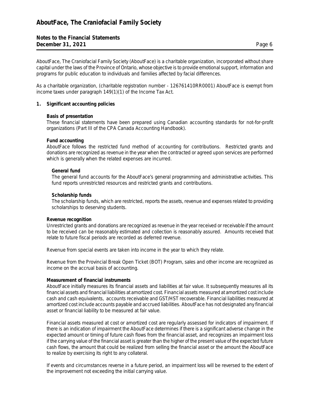**Notes to the Financial Statements December 31, 2021** Page 6

AboutFace, The Craniofacial Family Society (AboutFace) is a charitable organization, incorporated without share capital under the laws of the Province of Ontario, whose objective is to provide emotional support, information and programs for public education to individuals and families affected by facial differences.

As a charitable organization, (charitable registration number - 126761410RR0001) AboutFace is exempt from income taxes under paragraph 149(1)(1) of the Income Tax Act.

**1. Significant accounting policies**

## **Basis of presentation**

These financial statements have been prepared using Canadian accounting standards for not-for-profit organizations (Part III of the CPA Canada Accounting Handbook).

## **Fund accounting**

AboutFace follows the restricted fund method of accounting for contributions. Restricted grants and donations are recognized as revenue in the year when the contracted or agreed upon services are performed which is generally when the related expenses are incurred.

## **General fund**

The general fund accounts for the AboutFace's general programming and administrative activities. This fund reports unrestricted resources and restricted grants and contributions.

## **Scholarship funds**

The scholarship funds, which are restricted, reports the assets, revenue and expenses related to providing scholarships to deserving students.

### **Revenue recognition**

Unrestricted grants and donations are recognized as revenue in the year received or receivable if the amount to be received can be reasonably estimated and collection is reasonably assured. Amounts received that relate to future fiscal periods are recorded as deferred revenue.

Revenue from special events are taken into income in the year to which they relate.

Revenue from the Provincial Break Open Ticket (BOT) Program, sales and other income are recognized as income on the accrual basis of accounting.

#### **Measurement of financial instruments**

AboutFace initially measures its financial assets and liabilities at fair value. It subsequently measures all its financial assets and financial liabilities at amortized cost. Financial assets measured at amortized cost include cash and cash equivalents, accounts receivable and GST/HST recoverable. Financial liabilities measured at amortized cost include accounts payable and accrued liabilities. AboutFace has not designated any financial asset or financial liability to be measured at fair value.

Financial assets measured at cost or amortized cost are regularly assessed for indicators of impairment. If there is an indication of impairment the AboutFace determines if there is a significant adverse change in the expected amount or timing of future cash flows from the financial asset, and recognizes an impairment loss if the carrying value of the financial asset is greater than the higher of the present value of the expected future cash flows, the amount that could be realized from selling the financial asset or the amount the AboutFace to realize by exercising its right to any collateral.

If events and circumstances reverse in a future period, an impairment loss will be reversed to the extent of the improvement not exceeding the initial carrying value.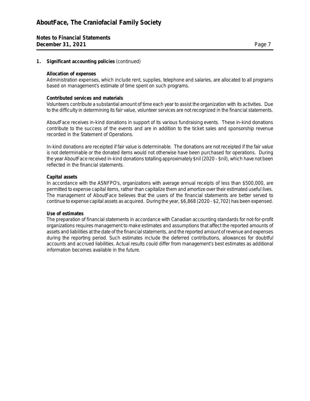## **1. Significant accounting policies** (continued)

## **Allocation of expenses**

Administration expenses, which include rent, supplies, telephone and salaries, are allocated to all programs based on management's estimate of time spent on such programs.

## **Contributed services and materials**

Volunteers contribute a substantial amount of time each year to assist the organization with its activities. Due to the difficulty in determining its fair value, volunteer services are not recognized in the financial statements.

AboutFace receives in-kind donations in support of its various fundraising events. These in-kind donations contribute to the success of the events and are in addition to the ticket sales and sponsorship revenue recorded in the Statement of Operations.

In-kind donations are receipted if fair value is determinable. The donations are not receipted if the fair value is not determinable or the donated items would not otherwise have been purchased for operations. During the year AboutFace received in-kind donations totalling approximately \$nil (2020 - \$nil), which have not been reflected in the financial statements.

## **Capital assets**

In accordance with the ASNFPO's, organizations with average annual receipts of less than \$500,000, are permitted to expense capital items, rather than capitalize them and amortize over their estimated useful lives. The management of AboutFace believes that the users of the financial statements are better served to continue to expense capital assets as acquired. During the year, \$6,868 (2020 - \$2,702) has been expensed.

## **Use of estimates**

The preparation of financial statements in accordance with Canadian accounting standards for not-for-profit organizations requires management to make estimates and assumptions that affect the reported amounts of assets and liabilities at the date of the financial statements, and the reported amount of revenue and expenses during the reporting period. Such estimates include the deferred contributions, allowances for doubtful accounts and accrued liabilities. Actual results could differ from management's best estimates as additional information becomes available in the future.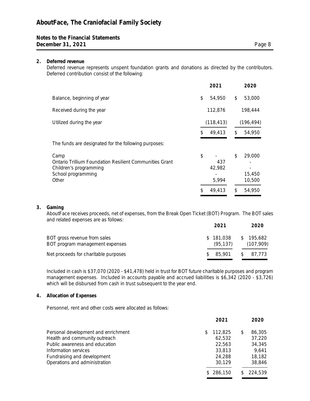## **Notes to the Financial Statements December 31, 2021** Page 8

## **2. Deferred revenue**

Deferred revenue represents unspent foundation grants and donations as directed by the contributors. Deferred contribution consist of the following:

| 2021                                   |          | 2020                                 |
|----------------------------------------|----------|--------------------------------------|
| \$<br>54,950                           | \$       | 53,000                               |
| 112,876                                |          | 198,444                              |
| (118, 413)                             |          | (196, 494)                           |
| \$<br>49,413                           | \$       | 54,950                               |
|                                        |          |                                      |
| \$<br>437<br>42,982<br>5,994<br>49,413 | \$<br>\$ | 29,000<br>15,450<br>10,500<br>54,950 |
|                                        |          |                                      |

**3. Gaming**

AboutFace receives proceeds, net of expenses, from the Break Open Ticket (BOT) Program. The BOT sales and related expenses are as follows:

|                                                                 | 2021                   | 2020                   |
|-----------------------------------------------------------------|------------------------|------------------------|
| BOT gross revenue from sales<br>BOT program management expenses | \$181.038<br>(95, 137) | \$195,682<br>(107,909) |
| Net proceeds for charitable purposes                            | 85.901                 | 87.773<br>S.           |

Included in cash is \$37,070 (2020 - \$41,478) held in trust for BOT future charitable purposes and program management expenses. Included in accounts payable and accrued liabilities is \$6,342 (2020 - \$3,726) which will be disbursed from cash in trust subsequent to the year end.

## **4. Allocation of Expenses**

Personnel, rent and other costs were allocated as follows:

|    | 2021    |           | 2020    |
|----|---------|-----------|---------|
| S. | 112,825 | \$        | 86,305  |
|    | 62,532  |           | 37,220  |
|    | 22,563  |           | 34,345  |
|    | 33,813  |           | 9,641   |
|    | 24,288  |           | 18,182  |
|    | 30,129  |           | 38,846  |
|    |         |           | 224,539 |
|    |         | \$286.150 |         |